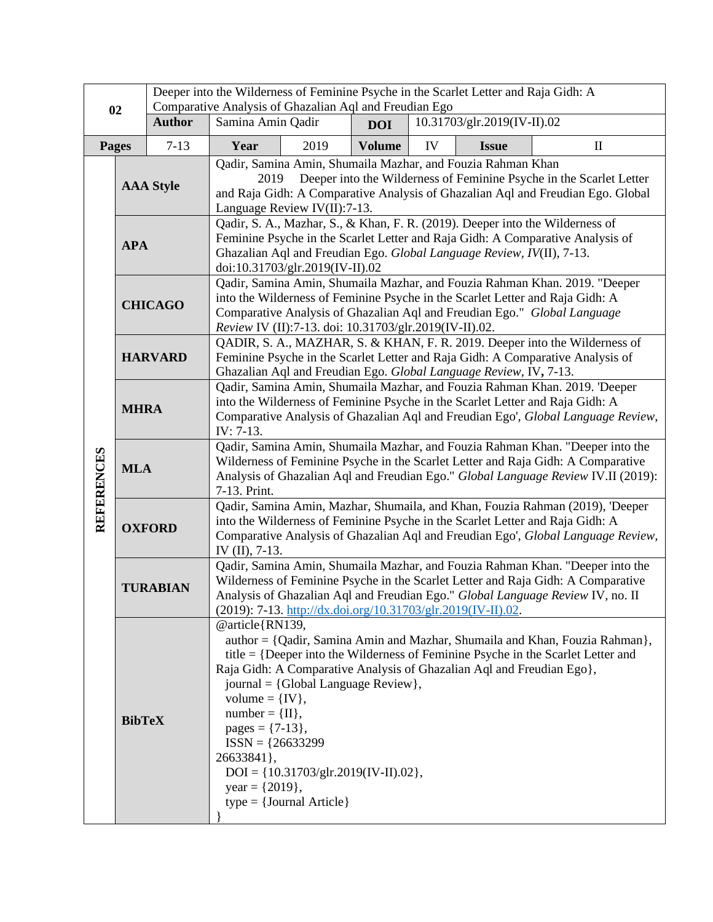| 02                |                  | Deeper into the Wilderness of Feminine Psyche in the Scarlet Letter and Raja Gidh: A<br>Comparative Analysis of Ghazalian Aql and Freudian Ego |                                                                                                                                                                                                                                                                                                                     |                                                                                                                     |               |                             |                                                                       |                                                                                                                                                                    |
|-------------------|------------------|------------------------------------------------------------------------------------------------------------------------------------------------|---------------------------------------------------------------------------------------------------------------------------------------------------------------------------------------------------------------------------------------------------------------------------------------------------------------------|---------------------------------------------------------------------------------------------------------------------|---------------|-----------------------------|-----------------------------------------------------------------------|--------------------------------------------------------------------------------------------------------------------------------------------------------------------|
|                   |                  | <b>Author</b>                                                                                                                                  | Samina Amin Qadir                                                                                                                                                                                                                                                                                                   |                                                                                                                     | <b>DOI</b>    | 10.31703/glr.2019(IV-II).02 |                                                                       |                                                                                                                                                                    |
|                   | <b>Pages</b>     | $7-13$                                                                                                                                         | Year                                                                                                                                                                                                                                                                                                                | 2019                                                                                                                | <b>Volume</b> | IV                          | <b>Issue</b>                                                          | $\mathbf{I}$                                                                                                                                                       |
| <b>REFERENCES</b> | <b>AAA Style</b> |                                                                                                                                                | Qadir, Samina Amin, Shumaila Mazhar, and Fouzia Rahman Khan<br>Deeper into the Wilderness of Feminine Psyche in the Scarlet Letter<br>2019<br>and Raja Gidh: A Comparative Analysis of Ghazalian Aql and Freudian Ego. Global<br>Language Review IV(II):7-13.                                                       |                                                                                                                     |               |                             |                                                                       |                                                                                                                                                                    |
|                   | <b>APA</b>       |                                                                                                                                                | Qadir, S. A., Mazhar, S., & Khan, F. R. (2019). Deeper into the Wilderness of<br>Feminine Psyche in the Scarlet Letter and Raja Gidh: A Comparative Analysis of<br>Ghazalian Aql and Freudian Ego. Global Language Review, IV(II), 7-13.<br>doi:10.31703/glr.2019(IV-II).02                                         |                                                                                                                     |               |                             |                                                                       |                                                                                                                                                                    |
|                   | <b>CHICAGO</b>   |                                                                                                                                                | Qadir, Samina Amin, Shumaila Mazhar, and Fouzia Rahman Khan. 2019. "Deeper<br>into the Wilderness of Feminine Psyche in the Scarlet Letter and Raja Gidh: A<br>Comparative Analysis of Ghazalian Aql and Freudian Ego." Global Language<br>Review IV (II):7-13. doi: 10.31703/glr.2019(IV-II).02.                   |                                                                                                                     |               |                             |                                                                       |                                                                                                                                                                    |
|                   | <b>HARVARD</b>   |                                                                                                                                                | QADIR, S. A., MAZHAR, S. & KHAN, F. R. 2019. Deeper into the Wilderness of<br>Feminine Psyche in the Scarlet Letter and Raja Gidh: A Comparative Analysis of<br>Ghazalian Aql and Freudian Ego. Global Language Review, IV, 7-13.                                                                                   |                                                                                                                     |               |                             |                                                                       |                                                                                                                                                                    |
|                   | <b>MHRA</b>      |                                                                                                                                                | Qadir, Samina Amin, Shumaila Mazhar, and Fouzia Rahman Khan. 2019. 'Deeper<br>into the Wilderness of Feminine Psyche in the Scarlet Letter and Raja Gidh: A<br>Comparative Analysis of Ghazalian Aql and Freudian Ego', Global Language Review,<br>IV: 7-13.                                                        |                                                                                                                     |               |                             |                                                                       |                                                                                                                                                                    |
|                   | <b>MLA</b>       |                                                                                                                                                | Qadir, Samina Amin, Shumaila Mazhar, and Fouzia Rahman Khan. "Deeper into the<br>Wilderness of Feminine Psyche in the Scarlet Letter and Raja Gidh: A Comparative<br>Analysis of Ghazalian Aql and Freudian Ego." Global Language Review IV.II (2019):<br>7-13. Print.                                              |                                                                                                                     |               |                             |                                                                       |                                                                                                                                                                    |
|                   | <b>OXFORD</b>    |                                                                                                                                                | Qadir, Samina Amin, Mazhar, Shumaila, and Khan, Fouzia Rahman (2019), 'Deeper<br>into the Wilderness of Feminine Psyche in the Scarlet Letter and Raja Gidh: A<br>Comparative Analysis of Ghazalian Aql and Freudian Ego', Global Language Review,<br>IV $(II)$ , 7-13.                                             |                                                                                                                     |               |                             |                                                                       |                                                                                                                                                                    |
|                   | <b>TURABIAN</b>  |                                                                                                                                                | Qadir, Samina Amin, Shumaila Mazhar, and Fouzia Rahman Khan. "Deeper into the<br>Wilderness of Feminine Psyche in the Scarlet Letter and Raja Gidh: A Comparative<br>Analysis of Ghazalian Aql and Freudian Ego." Global Language Review IV, no. II<br>(2019): 7-13. http://dx.doi.org/10.31703/glr.2019(IV-II).02. |                                                                                                                     |               |                             |                                                                       |                                                                                                                                                                    |
|                   | <b>BibTeX</b>    |                                                                                                                                                | @article{RN139,<br>volume = $\{IV\},\$<br>$number = {II},$<br>pages = $\{7-13\},\$<br>$ISSN = {26633299}$<br>26633841},<br>year = $\{2019\}$ ,                                                                                                                                                                      | journal = $\{Global Language Review\},\$<br>$DOI = \{10.31703/glr.2019(IV-II).02\},\$<br>$type = {Journal Article}$ |               |                             | Raja Gidh: A Comparative Analysis of Ghazalian Aql and Freudian Ego}, | author = {Qadir, Samina Amin and Mazhar, Shumaila and Khan, Fouzia Rahman},<br>$title = \{Deeper into the Wilderness of Feminine Psyche in the Scarlet Letter and$ |